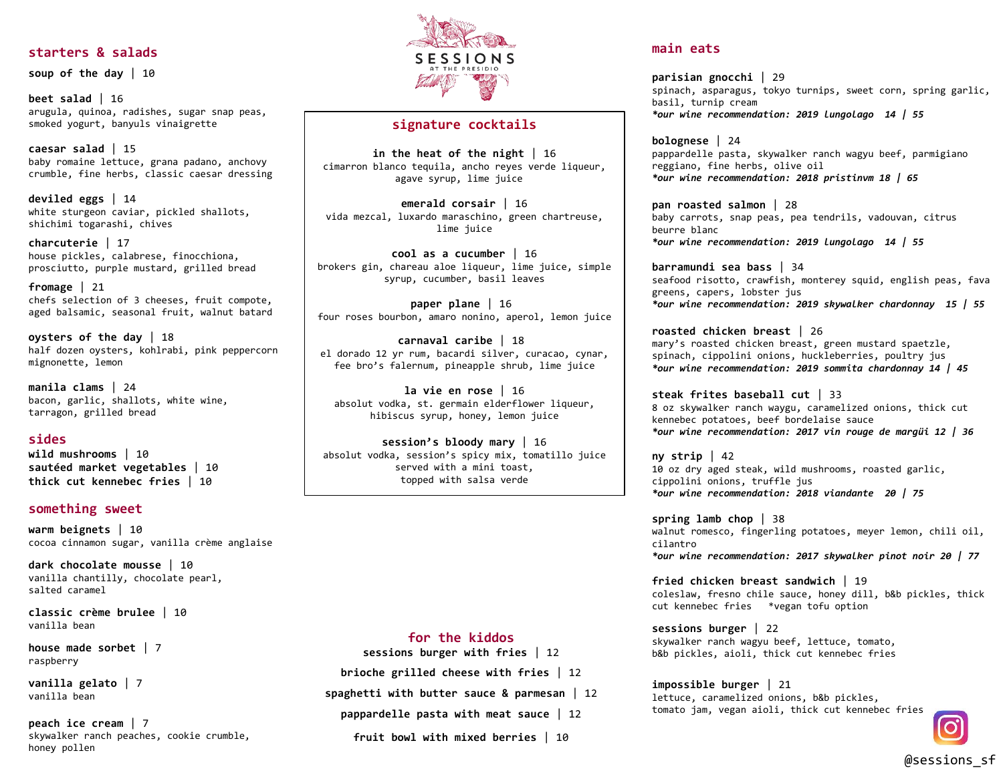#### **starters & salads**

**soup of the day** | 10

**beet salad** | 16 arugula, quinoa, radishes, sugar snap peas, smoked yogurt, banyuls vinaigrette

**caesar salad** | 15 baby romaine lettuce, grana padano, anchovy crumble, fine herbs, classic caesar dressing

**deviled eggs** | 14 white sturgeon caviar, pickled shallots, shichimi togarashi, chives

**charcuterie** | 17 house pickles, calabrese, finocchiona, prosciutto, purple mustard, grilled bread

**fromage** | 21 chefs selection of 3 cheeses, fruit compote, aged balsamic, seasonal fruit, walnut batard

**oysters of the day** | 18 half dozen oysters, kohlrabi, pink peppercorn mignonette, lemon

**manila clams** | 24 bacon, garlic, shallots, white wine, tarragon, grilled bread

#### **sides**

**wild mushrooms** | 10 **sautéed market vegetables** | 10 **thick cut kennebec fries** | 10

#### **something sweet**

**warm beignets** | 10 cocoa cinnamon sugar, vanilla crème anglaise

**dark chocolate mousse** | 10 vanilla chantilly, chocolate pearl, salted caramel

**classic crème brulee** | 10 vanilla bean

**house made sorbet** | 7 raspberry

**vanilla gelato** | 7 vanilla bean

**peach ice cream** | 7 skywalker ranch peaches, cookie crumble, honey pollen



### **signature cocktails**

**in the heat of the night** | 16 cimarron blanco tequila, ancho reyes verde liqueur, agave syrup, lime juice

**emerald corsair** | 16 vida mezcal, luxardo maraschino, green chartreuse, lime juice

**cool as a cucumber** | 16 brokers gin, chareau aloe liqueur, lime juice, simple syrup, cucumber, basil leaves

**paper plane** | 16 four roses bourbon, amaro nonino, aperol, lemon juice

**carnaval caribe** | 18 el dorado 12 yr rum, bacardi silver, curacao, cynar, fee bro's falernum, pineapple shrub, lime juice

**la vie en rose** | 16 absolut vodka, st. germain elderflower liqueur, hibiscus syrup, honey, lemon juice

**session's bloody mary** | 16 absolut vodka, session's spicy mix, tomatillo juice served with a mini toast, topped with salsa verde

#### **for the kiddos**

**sessions burger with fries** | 12

**brioche grilled cheese with fries** | 12

**spaghetti with butter sauce & parmesan** | 12

**pappardelle pasta with meat sauce** | 12

**fruit bowl with mixed berries** | 10

### **main eats**

**parisian gnocchi** | 29 spinach, asparagus, tokyo turnips, sweet corn, spring garlic, basil, turnip cream *\*our wine recommendation: 2019 lungolago 14 | 55*

**bolognese** | 24 pappardelle pasta, skywalker ranch wagyu beef, parmigiano reggiano, fine herbs, olive oil *\*our wine recommendation: 2018 pristinvm 18 | 65*

**pan roasted salmon** | 28 baby carrots, snap peas, pea tendrils, vadouvan, citrus beurre blanc *\*our wine recommendation: 2019 lungolago 14 | 55*

**barramundi sea bass** | 34 seafood risotto, crawfish, monterey squid, english peas, fava greens, capers, lobster jus *\*our wine recommendation: 2019 skywalker chardonnay 15 | 55*

**roasted chicken breast** | 26 mary's roasted chicken breast, green mustard spaetzle, spinach, cippolini onions, huckleberries, poultry jus *\*our wine recommendation: 2019 sommita chardonnay 14 | 45*

**steak frites baseball cut** | 33 8 oz skywalker ranch waygu, caramelized onions, thick cut kennebec potatoes, beef bordelaise sauce *\*our wine recommendation: 2017 vin rouge de margüi 12 | 36*

**ny strip** | 42 10 oz dry aged steak, wild mushrooms, roasted garlic, cippolini onions, truffle jus *\*our wine recommendation: 2018 viandante 20 | 75*

**spring lamb chop** | 38 walnut romesco, fingerling potatoes, meyer lemon, chili oil, cilantro *\*our wine recommendation: 2017 skywalker pinot noir 20 | 77*

**fried chicken breast sandwich** | 19 coleslaw, fresno chile sauce, honey dill, b&b pickles, thick cut kennebec fries \*vegan tofu option

**sessions burger** | 22 skywalker ranch wagyu beef, lettuce, tomato, b&b pickles, aioli, thick cut kennebec fries

**impossible burger** | 21 lettuce, caramelized onions, b&b pickles, tomato jam, vegan aioli, thick cut kennebec fries